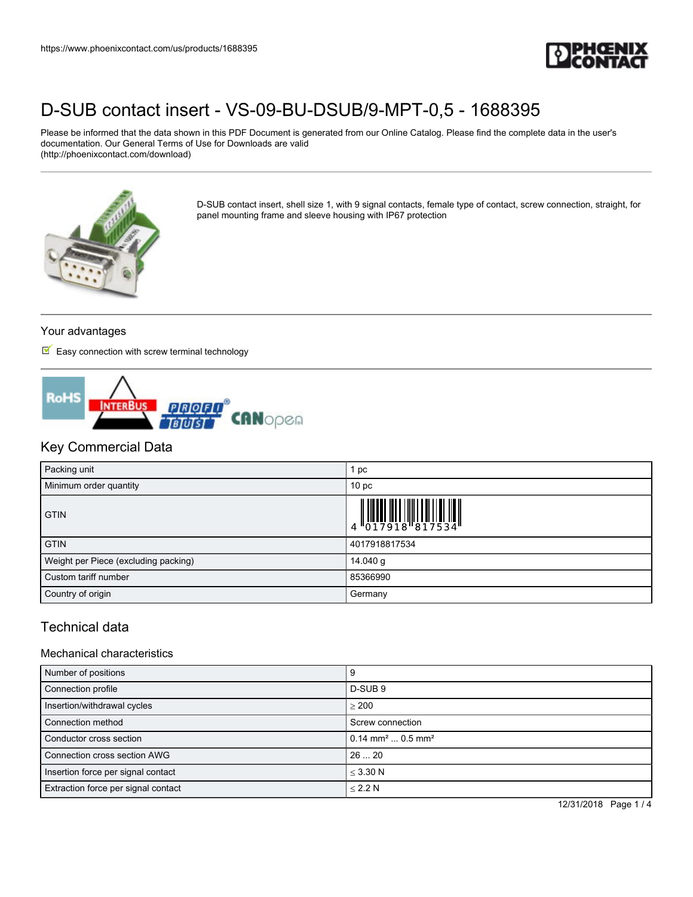

Please be informed that the data shown in this PDF Document is generated from our Online Catalog. Please find the complete data in the user's documentation. Our General Terms of Use for Downloads are valid (http://phoenixcontact.com/download)



D-SUB contact insert, shell size 1, with 9 signal contacts, female type of contact, screw connection, straight, for panel mounting frame and sleeve housing with IP67 protection

## Your advantages

 $\blacksquare$  Easy connection with screw terminal technology



## Key Commercial Data

| Packing unit                         | pc                                                                                                                                                                                                                                                                                                                          |
|--------------------------------------|-----------------------------------------------------------------------------------------------------------------------------------------------------------------------------------------------------------------------------------------------------------------------------------------------------------------------------|
| Minimum order quantity               | 10 <sub>p</sub>                                                                                                                                                                                                                                                                                                             |
| <b>GTIN</b>                          | $\begin{array}{c} 1 & 0 & 0 & 0 & 0 \\ 0 & 1 & 0 & 1 & 0 \\ 0 & 1 & 0 & 0 & 0 \\ 0 & 0 & 0 & 0 & 0 \\ 0 & 0 & 0 & 0 & 0 \\ 0 & 0 & 0 & 0 & 0 \\ 0 & 0 & 0 & 0 & 0 \\ 0 & 0 & 0 & 0 & 0 \\ 0 & 0 & 0 & 0 & 0 \\ 0 & 0 & 0 & 0 & 0 \\ 0 & 0 & 0 & 0 & 0 & 0 \\ 0 & 0 & 0 & 0 & 0 & 0 \\ 0 & 0 & 0 & 0 & 0 & 0 \\ 0 & 0 & 0 &$ |
| <b>GTIN</b>                          | 4017918817534                                                                                                                                                                                                                                                                                                               |
| Weight per Piece (excluding packing) | 14.040 g                                                                                                                                                                                                                                                                                                                    |
| Custom tariff number                 | 85366990                                                                                                                                                                                                                                                                                                                    |
| Country of origin                    | Germany                                                                                                                                                                                                                                                                                                                     |

## Technical data

#### Mechanical characteristics

| Number of positions                 |                                            |
|-------------------------------------|--------------------------------------------|
| Connection profile                  | D-SUB <sub>9</sub>                         |
| Insertion/withdrawal cycles         | > 200                                      |
| Connection method                   | Screw connection                           |
| Conductor cross section             | $0.14$ mm <sup>2</sup> 0.5 mm <sup>2</sup> |
| Connection cross section AWG        | 2620                                       |
| Insertion force per signal contact  | $<$ 3.30 N                                 |
| Extraction force per signal contact | < 2.2 N                                    |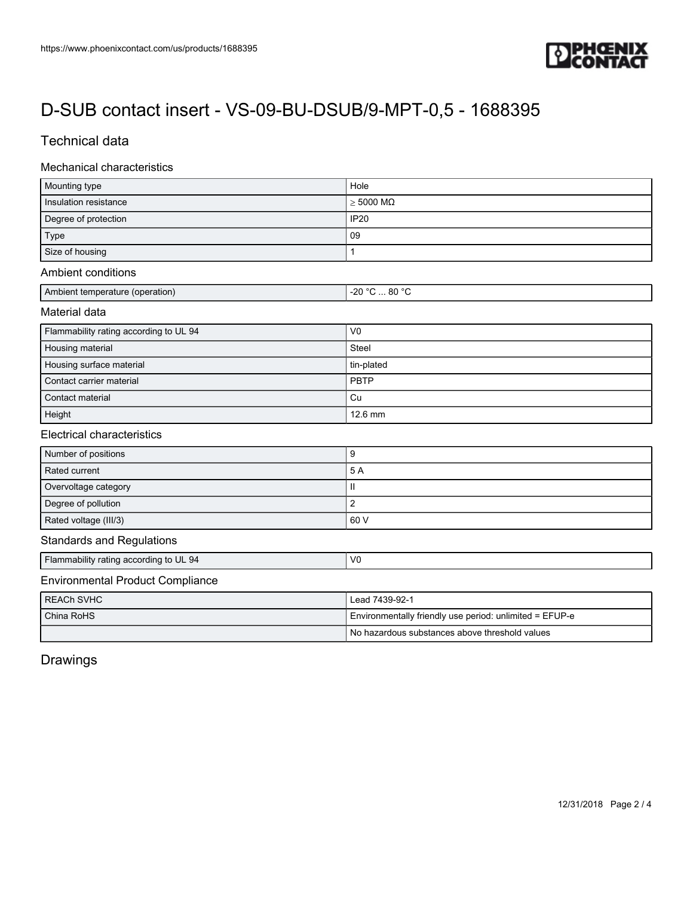

## Technical data

#### Mechanical characteristics

| Mounting type         | Hole                        |
|-----------------------|-----------------------------|
| Insulation resistance | $\geq 5000 \text{ M}\Omega$ |
| Degree of protection  | IP20                        |
| Type                  | 09                          |
| Size of housing       |                             |

#### Ambient conditions

| . 80 ° <i>೧</i><br>ാറ<br>$\mathbf{A}$<br>I Ambient temperature (operation)<br>-20<br>. |  |
|----------------------------------------------------------------------------------------|--|
|----------------------------------------------------------------------------------------|--|

### Material data

| Flammability rating according to UL 94 | V <sub>0</sub> |
|----------------------------------------|----------------|
| Housing material                       | Steel          |
| Housing surface material               | tin-plated     |
| Contact carrier material               | <b>PBTP</b>    |
| Contact material                       | Cu             |
| Height                                 | $12.6$ mm      |

#### Electrical characteristics

| Number of positions   | ч    |
|-----------------------|------|
| Rated current         | 5 A  |
| Overvoltage category  | H    |
| Degree of pollution   |      |
| Rated voltage (III/3) | 60 V |

#### Standards and Regulations

Flammability rating according to UL 94 V0

## Environmental Product Compliance

| I REACh SVHC | Lead 7439-92-1                                          |  |
|--------------|---------------------------------------------------------|--|
| l China RoHS | Environmentally friendly use period: unlimited = EFUP-e |  |
|              | I No hazardous substances above threshold values        |  |

# Drawings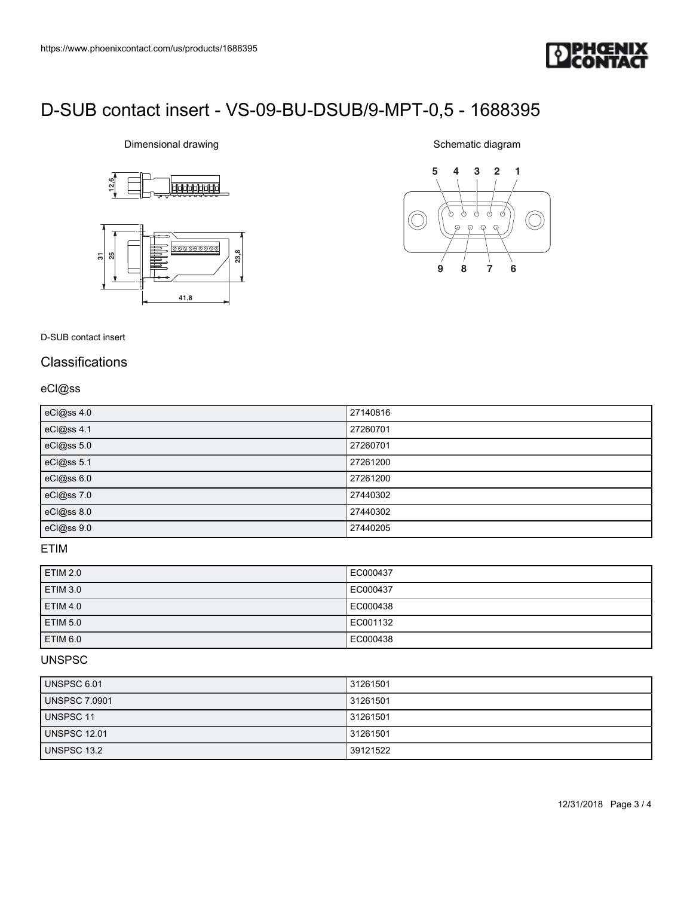

# Dimensional drawing





Schematic diagram



D-SUB contact insert

## **Classifications**

### eCl@ss

| eCl@ss 4.0 | 27140816 |
|------------|----------|
| eCl@ss 4.1 | 27260701 |
| eCl@ss 5.0 | 27260701 |
| eCl@ss 5.1 | 27261200 |
| eCl@ss 6.0 | 27261200 |
| eCl@ss 7.0 | 27440302 |
| eCl@ss 8.0 | 27440302 |
| eCl@ss 9.0 | 27440205 |

## ETIM

| <b>ETIM 2.0</b> | EC000437 |
|-----------------|----------|
| <b>ETIM 3.0</b> | EC000437 |
| <b>ETIM 4.0</b> | EC000438 |
| <b>ETIM 5.0</b> | EC001132 |
| ETIM 6.0        | EC000438 |

### UNSPSC

| UNSPSC 6.01         | 31261501 |
|---------------------|----------|
| UNSPSC 7.0901       | 31261501 |
| UNSPSC 11           | 31261501 |
| <b>UNSPSC 12.01</b> | 31261501 |
| UNSPSC 13.2         | 39121522 |